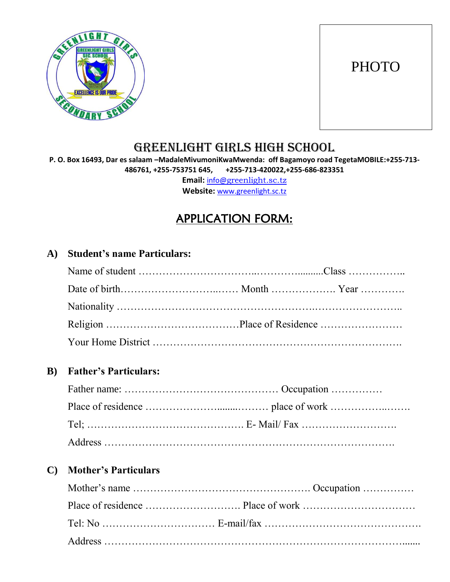

# **PHOTO**

## GREENLIGHT GIRLS HIGH SCHOOL

**P. O. Box 16493, Dar es salaam –MadaleMivumoniKwaMwenda: off Bagamoyo road TegetaMOBILE:+255-713- 486761, +255-753751 645, +255-713-420022,+255-686-823351 Email:** info@[greenlight.sc.tz](mailto:info@greenlight.sc.tz)

**Website:** [www.greenlight.sc.tz](http://www.greenlight.sc.tz/)

## APPLICATION FORM:

#### **A) Student's name Particulars:**

#### **B) Father's Particulars:**

#### **C) Mother's Particulars**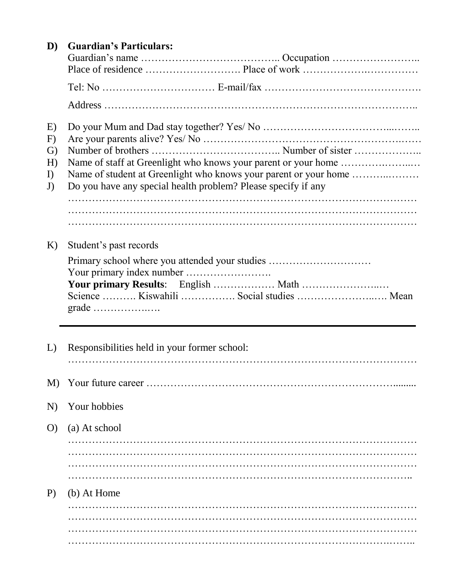| D)                                     | <b>Guardian's Particulars:</b>                                                                                                    |
|----------------------------------------|-----------------------------------------------------------------------------------------------------------------------------------|
|                                        |                                                                                                                                   |
|                                        |                                                                                                                                   |
|                                        |                                                                                                                                   |
| E)<br>F)<br>G)<br>H)<br>$\Gamma$<br>J) | Name of student at Greenlight who knows your parent or your home<br>Do you have any special health problem? Please specify if any |
|                                        |                                                                                                                                   |
| K)                                     | Student's past records<br>Primary school where you attended your studies                                                          |
|                                        | Your primary Results: English  Math<br>Science  Kiswahili  Social studies  Mean                                                   |
| L)                                     | Responsibilities held in your former school:                                                                                      |
| M)                                     |                                                                                                                                   |
| N)                                     | Your hobbies                                                                                                                      |
| O                                      | (a) At school                                                                                                                     |
|                                        |                                                                                                                                   |
| P)                                     | (b) At Home                                                                                                                       |
|                                        |                                                                                                                                   |
|                                        |                                                                                                                                   |
|                                        |                                                                                                                                   |